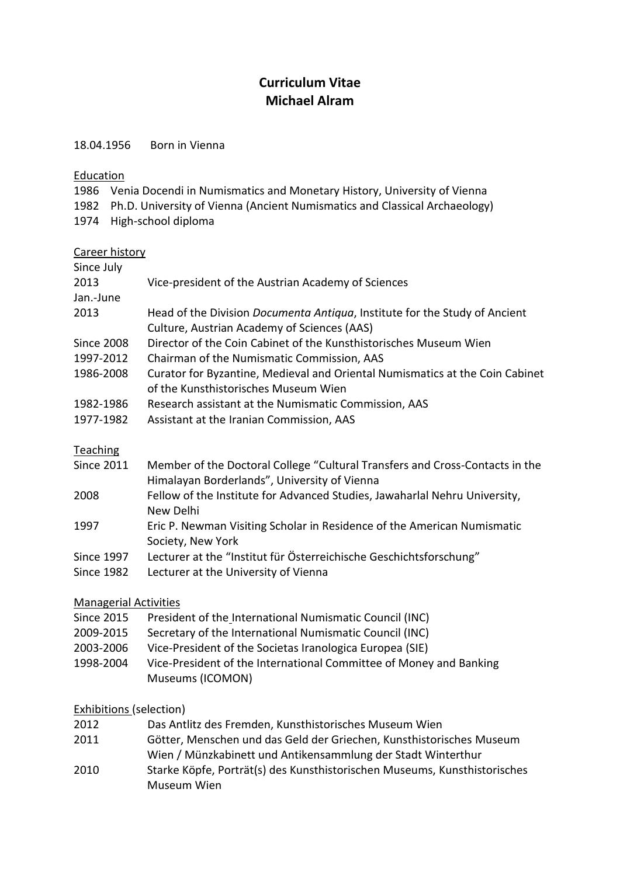## **Curriculum Vitae Michael Alram**

18.04.1956 Born in Vienna

Education

1986 Venia Docendi in Numismatics and Monetary History, University of Vienna

1982 Ph.D. University of Vienna (Ancient Numismatics and Classical Archaeology)

1974 High-school diploma

## Career history

| Since July        |                                                                                    |
|-------------------|------------------------------------------------------------------------------------|
| 2013              | Vice-president of the Austrian Academy of Sciences                                 |
| Jan.-June         |                                                                                    |
| 2013              | Head of the Division <i>Documenta Antiqua</i> , Institute for the Study of Ancient |
|                   | Culture, Austrian Academy of Sciences (AAS)                                        |
| <b>Since 2008</b> | Director of the Coin Cabinet of the Kunsthistorisches Museum Wien                  |
| 1997-2012         | Chairman of the Numismatic Commission, AAS                                         |
| 1986-2008         | Curator for Byzantine, Medieval and Oriental Numismatics at the Coin Cabinet       |
|                   | of the Kunsthistorisches Museum Wien                                               |
| 1982-1986         | Research assistant at the Numismatic Commission, AAS                               |
| 1977-1982         | Assistant at the Iranian Commission, AAS                                           |
|                   |                                                                                    |
|                   |                                                                                    |

Teaching

| Since 2011 | Member of the Doctoral College "Cultural Transfers and Cross-Contacts in the |
|------------|------------------------------------------------------------------------------|
|            | Himalayan Borderlands", University of Vienna                                 |

- 2008 Fellow of the Institute for Advanced Studies, Jawaharlal Nehru University, New Delhi
- 1997 Eric P. Newman Visiting Scholar in Residence of the American Numismatic Society, New York
- Since 1997 Lecturer at the "Institut für Österreichische Geschichtsforschung"
- Since 1982 Lecturer at the University of Vienna

## Managerial Activities

- Since 2015 President of the International Numismatic Council (INC)
- 2009-2015 Secretary of the International Numismatic Council (INC)
- 2003-2006 Vice-President of the Societas Iranologica Europea (SIE)
- 1998-2004 Vice-President of the International Committee of Money and Banking Museums (ICOMON)

## Exhibitions (selection)

| 2012 | Das Antlitz des Fremden, Kunsthistorisches Museum Wien                    |
|------|---------------------------------------------------------------------------|
| 2011 | Götter, Menschen und das Geld der Griechen, Kunsthistorisches Museum      |
|      | Wien / Münzkabinett und Antikensammlung der Stadt Winterthur              |
| 2010 | Starke Köpfe, Porträt(s) des Kunsthistorischen Museums, Kunsthistorisches |
|      | Museum Wien                                                               |